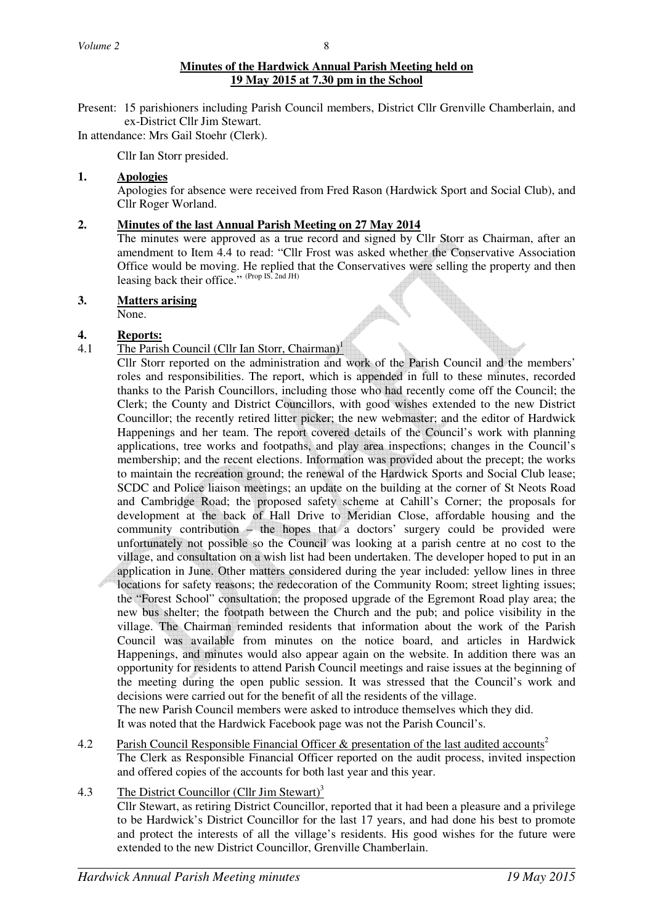# **Minutes of the Hardwick Annual Parish Meeting held on 19 May 2015 at 7.30 pm in the School**

Present: 15 parishioners including Parish Council members, District Cllr Grenville Chamberlain, and ex-District Cllr Jim Stewart.

In attendance: Mrs Gail Stoehr (Clerk).

Cllr Ian Storr presided.

# **1. Apologies**

Apologies for absence were received from Fred Rason (Hardwick Sport and Social Club), and Cllr Roger Worland.

# **2. Minutes of the last Annual Parish Meeting on 27 May 2014**

The minutes were approved as a true record and signed by Cllr Storr as Chairman, after an amendment to Item 4.4 to read: "Cllr Frost was asked whether the Conservative Association Office would be moving. He replied that the Conservatives were selling the property and then leasing back their office." (Prop IS, 2nd JH)

#### **3. Matters arising**

None.

# **4. Reports:**

- 4.1 The Parish Council (Cllr Ian Storr, Chairman)<sup>1</sup>
	- Cllr Storr reported on the administration and work of the Parish Council and the members' roles and responsibilities. The report, which is appended in full to these minutes, recorded thanks to the Parish Councillors, including those who had recently come off the Council; the Clerk; the County and District Councillors, with good wishes extended to the new District Councillor; the recently retired litter picker; the new webmaster; and the editor of Hardwick Happenings and her team. The report covered details of the Council's work with planning applications, tree works and footpaths, and play area inspections; changes in the Council's membership; and the recent elections. Information was provided about the precept; the works to maintain the recreation ground; the renewal of the Hardwick Sports and Social Club lease; SCDC and Police liaison meetings; an update on the building at the corner of St Neots Road and Cambridge Road; the proposed safety scheme at Cahill's Corner; the proposals for development at the back of Hall Drive to Meridian Close, affordable housing and the community contribution – the hopes that a doctors' surgery could be provided were unfortunately not possible so the Council was looking at a parish centre at no cost to the village, and consultation on a wish list had been undertaken. The developer hoped to put in an application in June. Other matters considered during the year included: yellow lines in three locations for safety reasons; the redecoration of the Community Room; street lighting issues; the "Forest School" consultation; the proposed upgrade of the Egremont Road play area; the new bus shelter; the footpath between the Church and the pub; and police visibility in the village. The Chairman reminded residents that information about the work of the Parish Council was available from minutes on the notice board, and articles in Hardwick Happenings, and minutes would also appear again on the website. In addition there was an opportunity for residents to attend Parish Council meetings and raise issues at the beginning of the meeting during the open public session. It was stressed that the Council's work and decisions were carried out for the benefit of all the residents of the village. The new Parish Council members were asked to introduce themselves which they did.

It was noted that the Hardwick Facebook page was not the Parish Council's.

4.2 Parish Council Responsible Financial Officer & presentation of the last audited accounts<sup>2</sup> The Clerk as Responsible Financial Officer reported on the audit process, invited inspection and offered copies of the accounts for both last year and this year.

# 4.3 The District Councillor (Cllr Jim Stewart)<sup>3</sup>

 Cllr Stewart, as retiring District Councillor, reported that it had been a pleasure and a privilege to be Hardwick's District Councillor for the last 17 years, and had done his best to promote and protect the interests of all the village's residents. His good wishes for the future were extended to the new District Councillor, Grenville Chamberlain.